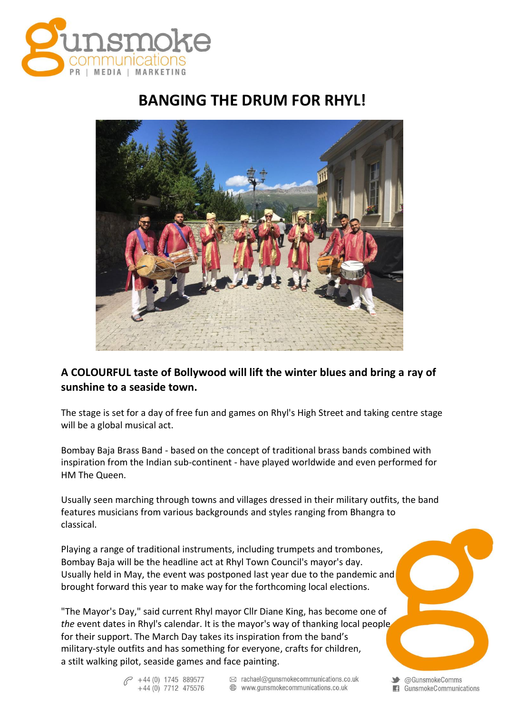

## **BANGING THE DRUM FOR RHYL!**



## **A COLOURFUL taste of Bollywood will lift the winter blues and bring a ray of sunshine to a seaside town.**

The stage is set for a day of free fun and games on Rhyl's High Street and taking centre stage will be a global musical act.

Bombay Baja Brass Band - based on the concept of traditional brass bands combined with inspiration from the Indian sub-continent - have played worldwide and even performed for HM The Queen.

Usually seen marching through towns and villages dressed in their military outfits, the band features musicians from various backgrounds and styles ranging from Bhangra to classical.

Playing a range of traditional instruments, including trumpets and trombones, Bombay Baja will be the headline act at Rhyl Town Council's mayor's day. Usually held in May, the event was postponed last year due to the pandemic and brought forward this year to make way for the forthcoming local elections.

"The Mayor's Day," said current Rhyl mayor Cllr Diane King, has become one of *the* event dates in Rhyl's calendar. It is the mayor's way of thanking local people for their support. The March Day takes its inspiration from the band's military-style outfits and has something for everyone, crafts for children, a stilt walking pilot, seaside games and face painting.

> $\curvearrowright$  +44 (0) 1745 889577 +44 (0) 7712 475576

 $\otimes$  rachael@gunsmokecommunications.co.uk www.gunsmokecommunications.co.uk

Standard Comms GunsmokeCommunications